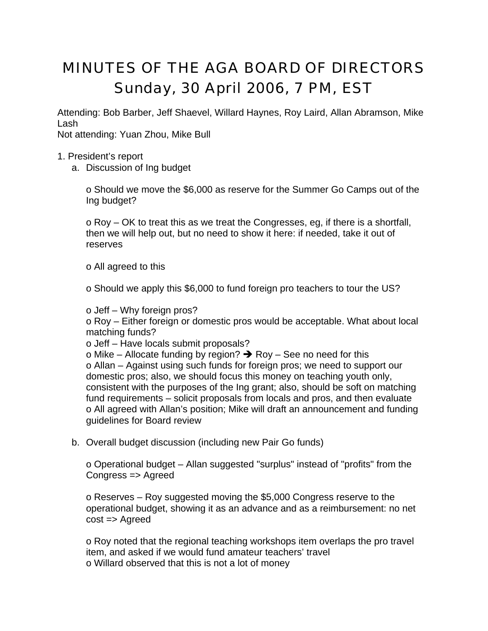## MINUTES OF THE AGA BOARD OF DIRECTORS Sunday, 30 April 2006, 7 PM, EST

Attending: Bob Barber, Jeff Shaevel, Willard Haynes, Roy Laird, Allan Abramson, Mike Lash

Not attending: Yuan Zhou, Mike Bull

## 1. President's report

a. Discussion of Ing budget

o Should we move the \$6,000 as reserve for the Summer Go Camps out of the Ing budget?

o Roy – OK to treat this as we treat the Congresses, eg, if there is a shortfall, then we will help out, but no need to show it here: if needed, take it out of reserves

## o All agreed to this

o Should we apply this \$6,000 to fund foreign pro teachers to tour the US?

o Jeff – Why foreign pros?

o Roy – Either foreign or domestic pros would be acceptable. What about local matching funds?

o Jeff – Have locals submit proposals?

o Mike – Allocate funding by region?  $\rightarrow$  Roy – See no need for this o Allan – Against using such funds for foreign pros; we need to support our domestic pros; also, we should focus this money on teaching youth only, consistent with the purposes of the Ing grant; also, should be soft on matching fund requirements – solicit proposals from locals and pros, and then evaluate o All agreed with Allan's position; Mike will draft an announcement and funding guidelines for Board review

b. Overall budget discussion (including new Pair Go funds)

o Operational budget – Allan suggested "surplus" instead of "profits" from the Congress => Agreed

o Reserves – Roy suggested moving the \$5,000 Congress reserve to the operational budget, showing it as an advance and as a reimbursement: no net cost => Agreed

o Roy noted that the regional teaching workshops item overlaps the pro travel item, and asked if we would fund amateur teachers' travel o Willard observed that this is not a lot of money